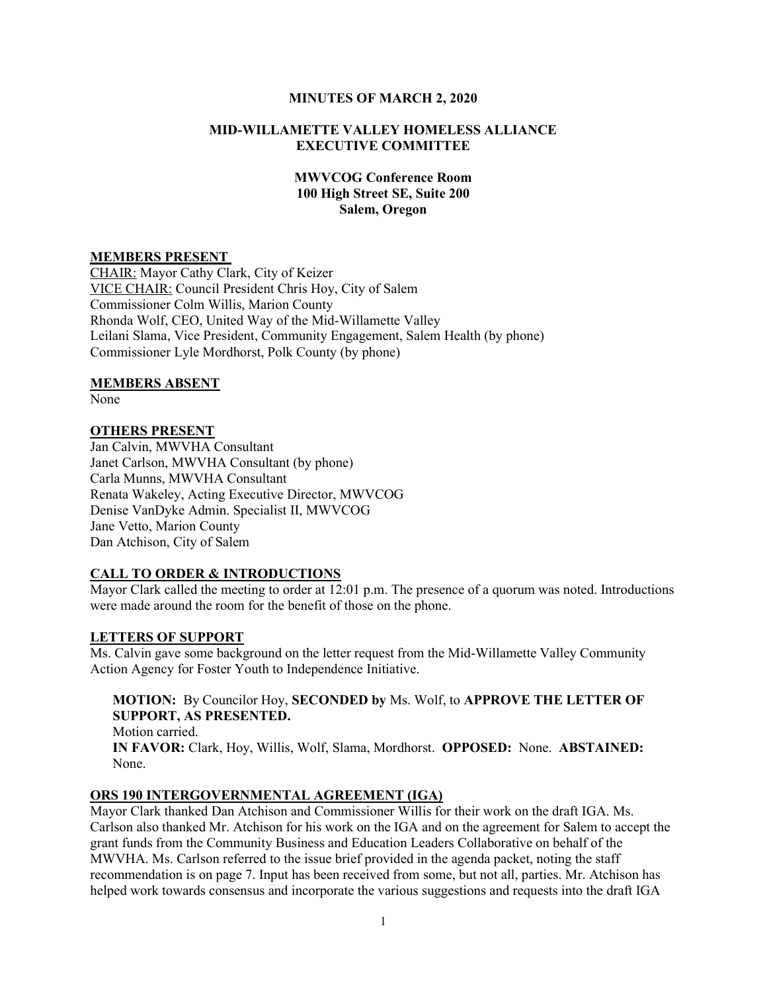#### MINUTES OF MARCH 2, 2020

### MID-WILLAMETTE VALLEY HOMELESS ALLIANCE EXECUTIVE COMMITTEE

## MWVCOG Conference Room 100 High Street SE, Suite 200 Salem, Oregon

### MEMBERS PRESENT

CHAIR: Mayor Cathy Clark, City of Keizer VICE CHAIR: Council President Chris Hoy, City of Salem Commissioner Colm Willis, Marion County Rhonda Wolf, CEO, United Way of the Mid-Willamette Valley Leilani Slama, Vice President, Community Engagement, Salem Health (by phone) Commissioner Lyle Mordhorst, Polk County (by phone)

#### MEMBERS ABSENT

None

### OTHERS PRESENT

Jan Calvin, MWVHA Consultant Janet Carlson, MWVHA Consultant (by phone) Carla Munns, MWVHA Consultant Renata Wakeley, Acting Executive Director, MWVCOG Denise VanDyke Admin. Specialist II, MWVCOG Jane Vetto, Marion County Dan Atchison, City of Salem

# CALL TO ORDER & INTRODUCTIONS

Mayor Clark called the meeting to order at 12:01 p.m. The presence of a quorum was noted. Introductions were made around the room for the benefit of those on the phone.

### LETTERS OF SUPPORT

Ms. Calvin gave some background on the letter request from the Mid-Willamette Valley Community Action Agency for Foster Youth to Independence Initiative.

## MOTION: By Councilor Hoy, SECONDED by Ms. Wolf, to APPROVE THE LETTER OF SUPPORT, AS PRESENTED.

Motion carried. IN FAVOR: Clark, Hoy, Willis, Wolf, Slama, Mordhorst. OPPOSED: None. ABSTAINED: None.

#### ORS 190 INTERGOVERNMENTAL AGREEMENT (IGA)

Mayor Clark thanked Dan Atchison and Commissioner Willis for their work on the draft IGA. Ms. Carlson also thanked Mr. Atchison for his work on the IGA and on the agreement for Salem to accept the grant funds from the Community Business and Education Leaders Collaborative on behalf of the MWVHA. Ms. Carlson referred to the issue brief provided in the agenda packet, noting the staff recommendation is on page 7. Input has been received from some, but not all, parties. Mr. Atchison has helped work towards consensus and incorporate the various suggestions and requests into the draft IGA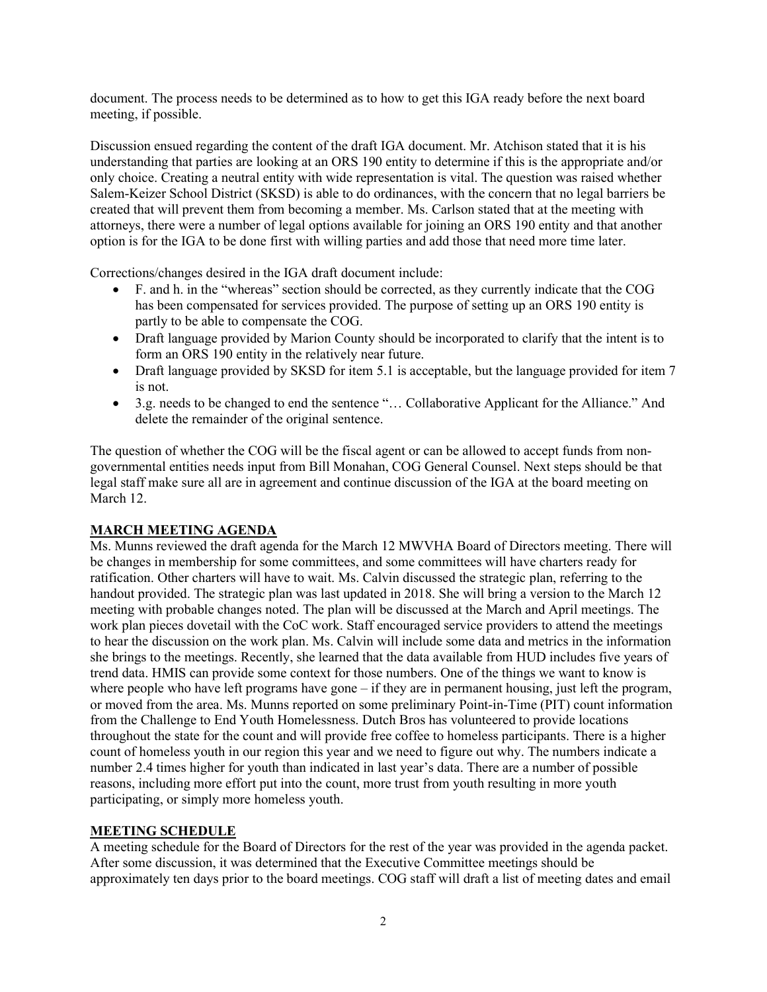document. The process needs to be determined as to how to get this IGA ready before the next board meeting, if possible.

Discussion ensued regarding the content of the draft IGA document. Mr. Atchison stated that it is his understanding that parties are looking at an ORS 190 entity to determine if this is the appropriate and/or only choice. Creating a neutral entity with wide representation is vital. The question was raised whether Salem-Keizer School District (SKSD) is able to do ordinances, with the concern that no legal barriers be created that will prevent them from becoming a member. Ms. Carlson stated that at the meeting with attorneys, there were a number of legal options available for joining an ORS 190 entity and that another option is for the IGA to be done first with willing parties and add those that need more time later.

Corrections/changes desired in the IGA draft document include:

- F. and h. in the "whereas" section should be corrected, as they currently indicate that the COG has been compensated for services provided. The purpose of setting up an ORS 190 entity is partly to be able to compensate the COG.
- Draft language provided by Marion County should be incorporated to clarify that the intent is to form an ORS 190 entity in the relatively near future.
- Draft language provided by SKSD for item 5.1 is acceptable, but the language provided for item 7 is not.
- 3.g. needs to be changed to end the sentence "… Collaborative Applicant for the Alliance." And delete the remainder of the original sentence.

The question of whether the COG will be the fiscal agent or can be allowed to accept funds from nongovernmental entities needs input from Bill Monahan, COG General Counsel. Next steps should be that legal staff make sure all are in agreement and continue discussion of the IGA at the board meeting on March 12.

# MARCH MEETING AGENDA

Ms. Munns reviewed the draft agenda for the March 12 MWVHA Board of Directors meeting. There will be changes in membership for some committees, and some committees will have charters ready for ratification. Other charters will have to wait. Ms. Calvin discussed the strategic plan, referring to the handout provided. The strategic plan was last updated in 2018. She will bring a version to the March 12 meeting with probable changes noted. The plan will be discussed at the March and April meetings. The work plan pieces dovetail with the CoC work. Staff encouraged service providers to attend the meetings to hear the discussion on the work plan. Ms. Calvin will include some data and metrics in the information she brings to the meetings. Recently, she learned that the data available from HUD includes five years of trend data. HMIS can provide some context for those numbers. One of the things we want to know is where people who have left programs have gone – if they are in permanent housing, just left the program, or moved from the area. Ms. Munns reported on some preliminary Point-in-Time (PIT) count information from the Challenge to End Youth Homelessness. Dutch Bros has volunteered to provide locations throughout the state for the count and will provide free coffee to homeless participants. There is a higher count of homeless youth in our region this year and we need to figure out why. The numbers indicate a number 2.4 times higher for youth than indicated in last year's data. There are a number of possible reasons, including more effort put into the count, more trust from youth resulting in more youth participating, or simply more homeless youth.

### MEETING SCHEDULE

A meeting schedule for the Board of Directors for the rest of the year was provided in the agenda packet. After some discussion, it was determined that the Executive Committee meetings should be approximately ten days prior to the board meetings. COG staff will draft a list of meeting dates and email